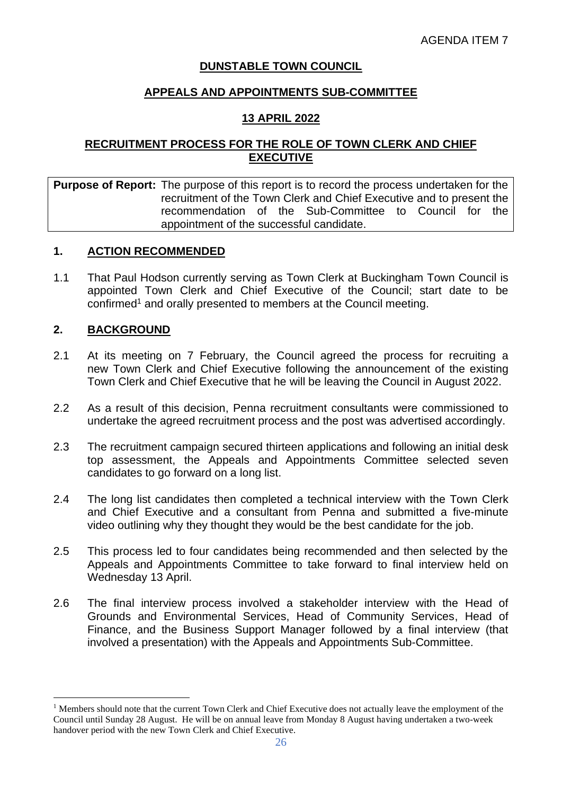### **DUNSTABLE TOWN COUNCIL**

### **APPEALS AND APPOINTMENTS SUB-COMMITTEE**

### **13 APRIL 2022**

### **RECRUITMENT PROCESS FOR THE ROLE OF TOWN CLERK AND CHIEF EXECUTIVE**

### **Purpose of Report:** The purpose of this report is to record the process undertaken for the recruitment of the Town Clerk and Chief Executive and to present the recommendation of the Sub-Committee to Council for the appointment of the successful candidate.

### **1. ACTION RECOMMENDED**

1.1 That Paul Hodson currently serving as Town Clerk at Buckingham Town Council is appointed Town Clerk and Chief Executive of the Council; start date to be confirmed<sup>1</sup> and orally presented to members at the Council meeting.

#### **2. BACKGROUND**

- 2.1 At its meeting on 7 February, the Council agreed the process for recruiting a new Town Clerk and Chief Executive following the announcement of the existing Town Clerk and Chief Executive that he will be leaving the Council in August 2022.
- 2.2 As a result of this decision, Penna recruitment consultants were commissioned to undertake the agreed recruitment process and the post was advertised accordingly.
- 2.3 The recruitment campaign secured thirteen applications and following an initial desk top assessment, the Appeals and Appointments Committee selected seven candidates to go forward on a long list.
- 2.4 The long list candidates then completed a technical interview with the Town Clerk and Chief Executive and a consultant from Penna and submitted a five-minute video outlining why they thought they would be the best candidate for the job.
- 2.5 This process led to four candidates being recommended and then selected by the Appeals and Appointments Committee to take forward to final interview held on Wednesday 13 April.
- 2.6 The final interview process involved a stakeholder interview with the Head of Grounds and Environmental Services, Head of Community Services, Head of Finance, and the Business Support Manager followed by a final interview (that involved a presentation) with the Appeals and Appointments Sub-Committee.

<sup>&</sup>lt;sup>1</sup> Members should note that the current Town Clerk and Chief Executive does not actually leave the employment of the Council until Sunday 28 August. He will be on annual leave from Monday 8 August having undertaken a two-week handover period with the new Town Clerk and Chief Executive.